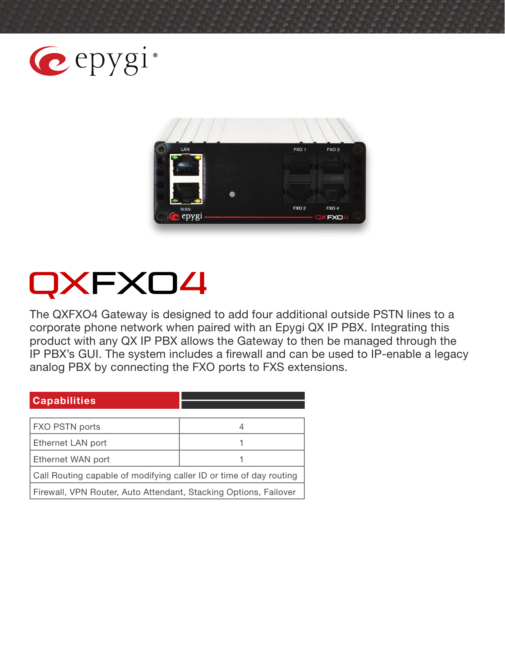



# OXFX04

The QXFXO4 Gateway is designed to add four additional outside PSTN lines to a corporate phone network when paired with an Epygi QX IP PBX. Integrating this product with any QX IP PBX allows the Gateway to then be managed through the IP PBX's GUI. The system includes a firewall and can be used to IP-enable a legacy analog PBX by connecting the FXO ports to FXS extensions.

#### **Capabilities**

| FXO PSTN ports                                                     |  |
|--------------------------------------------------------------------|--|
| Ethernet LAN port                                                  |  |
| Ethernet WAN port                                                  |  |
| Call Routing capable of modifying caller ID or time of day routing |  |
| Firewall, VPN Router, Auto Attendant, Stacking Options, Failover   |  |